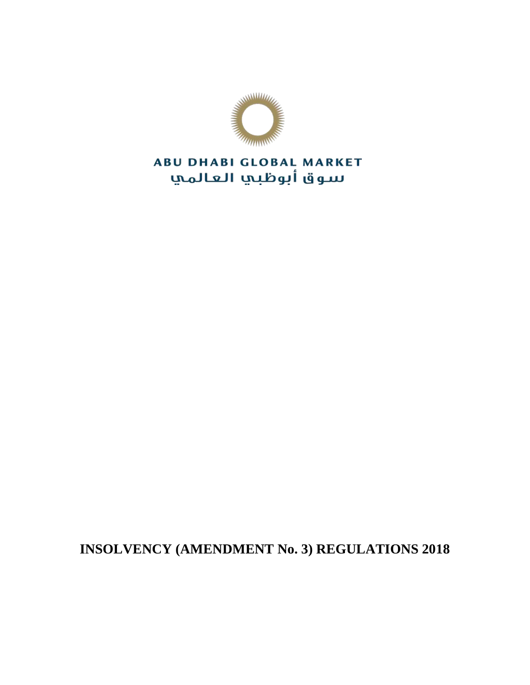

# **ABU DHABI GLOBAL MARKET** سوق أبوظبي العالمي

**INSOLVENCY (AMENDMENT No. 3) REGULATIONS 2018**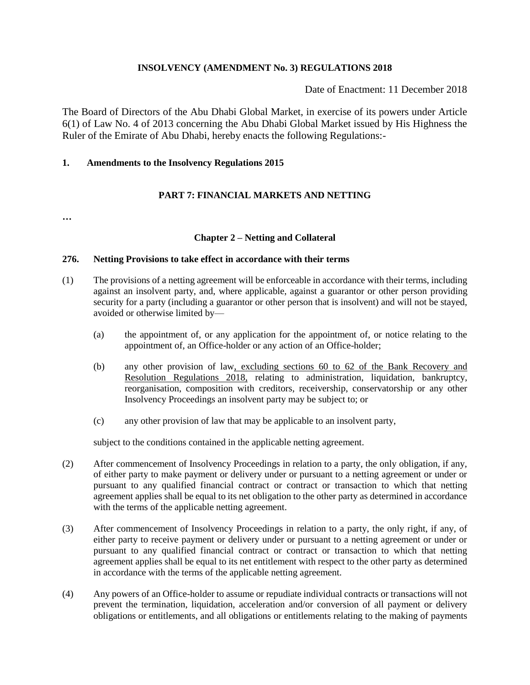#### **INSOLVENCY (AMENDMENT No. 3) REGULATIONS 2018**

Date of Enactment: 11 December 2018

The Board of Directors of the Abu Dhabi Global Market, in exercise of its powers under Article 6(1) of Law No. 4 of 2013 concerning the Abu Dhabi Global Market issued by His Highness the Ruler of the Emirate of Abu Dhabi, hereby enacts the following Regulations:-

## **1. Amendments to the Insolvency Regulations 2015**

# **PART 7: FINANCIAL MARKETS AND NETTING**

**…**

### **Chapter 2 – Netting and Collateral**

#### **276. Netting Provisions to take effect in accordance with their terms**

- (1) The provisions of a netting agreement will be enforceable in accordance with their terms, including against an insolvent party, and, where applicable, against a guarantor or other person providing security for a party (including a guarantor or other person that is insolvent) and will not be stayed, avoided or otherwise limited by—
	- (a) the appointment of, or any application for the appointment of, or notice relating to the appointment of, an Office-holder or any action of an Office-holder;
	- (b) any other provision of law, excluding sections 60 to 62 of the Bank Recovery and Resolution Regulations 2018, relating to administration, liquidation, bankruptcy, reorganisation, composition with creditors, receivership, conservatorship or any other Insolvency Proceedings an insolvent party may be subject to; or
	- (c) any other provision of law that may be applicable to an insolvent party,

subject to the conditions contained in the applicable netting agreement.

- (2) After commencement of Insolvency Proceedings in relation to a party, the only obligation, if any, of either party to make payment or delivery under or pursuant to a netting agreement or under or pursuant to any qualified financial contract or contract or transaction to which that netting agreement applies shall be equal to its net obligation to the other party as determined in accordance with the terms of the applicable netting agreement.
- (3) After commencement of Insolvency Proceedings in relation to a party, the only right, if any, of either party to receive payment or delivery under or pursuant to a netting agreement or under or pursuant to any qualified financial contract or contract or transaction to which that netting agreement applies shall be equal to its net entitlement with respect to the other party as determined in accordance with the terms of the applicable netting agreement.
- (4) Any powers of an Office-holder to assume or repudiate individual contracts or transactions will not prevent the termination, liquidation, acceleration and/or conversion of all payment or delivery obligations or entitlements, and all obligations or entitlements relating to the making of payments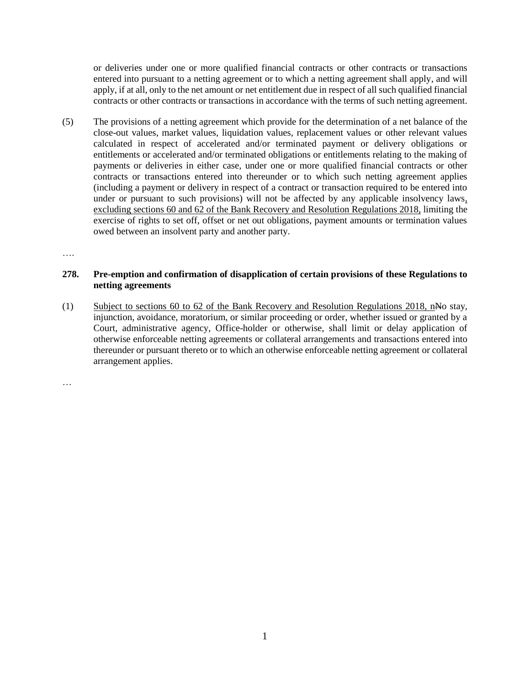or deliveries under one or more qualified financial contracts or other contracts or transactions entered into pursuant to a netting agreement or to which a netting agreement shall apply, and will apply, if at all, only to the net amount or net entitlement due in respect of all such qualified financial contracts or other contracts or transactions in accordance with the terms of such netting agreement.

(5) The provisions of a netting agreement which provide for the determination of a net balance of the close-out values, market values, liquidation values, replacement values or other relevant values calculated in respect of accelerated and/or terminated payment or delivery obligations or entitlements or accelerated and/or terminated obligations or entitlements relating to the making of payments or deliveries in either case, under one or more qualified financial contracts or other contracts or transactions entered into thereunder or to which such netting agreement applies (including a payment or delivery in respect of a contract or transaction required to be entered into under or pursuant to such provisions) will not be affected by any applicable insolvency laws, excluding sections 60 and 62 of the Bank Recovery and Resolution Regulations 2018, limiting the exercise of rights to set off, offset or net out obligations, payment amounts or termination values owed between an insolvent party and another party.

….

#### **278. Pre-emption and confirmation of disapplication of certain provisions of these Regulations to netting agreements**

(1) Subject to sections 60 to 62 of the Bank Recovery and Resolution Regulations 2018, nNo stay, injunction, avoidance, moratorium, or similar proceeding or order, whether issued or granted by a Court, administrative agency, Office-holder or otherwise, shall limit or delay application of otherwise enforceable netting agreements or collateral arrangements and transactions entered into thereunder or pursuant thereto or to which an otherwise enforceable netting agreement or collateral arrangement applies.

…